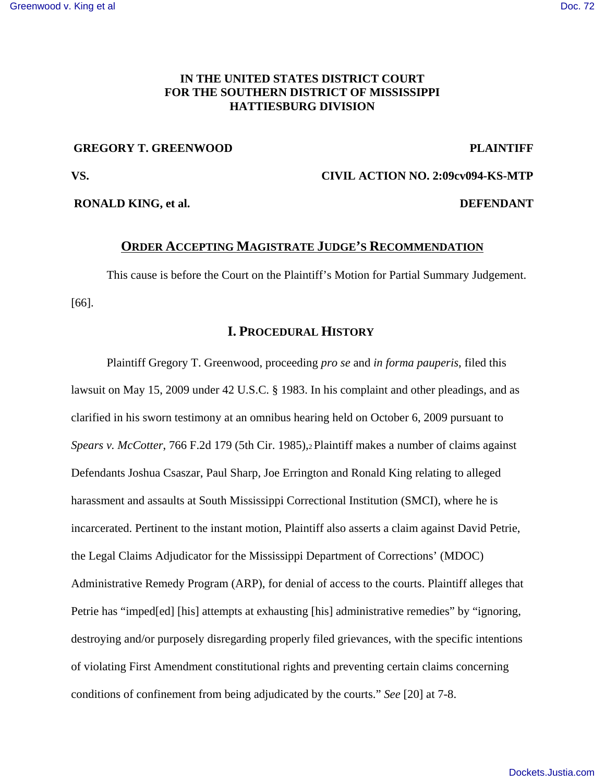# **IN THE UNITED STATES DISTRICT COURT FOR THE SOUTHERN DISTRICT OF MISSISSIPPI HATTIESBURG DIVISION**

## **GREGORY T. GREENWOOD PLAINTIFF**

**VS. CIVIL ACTION NO. 2:09cv094-KS-MTP**

**RONALD KING, et al. DEFENDANT** 

### **ORDER ACCEPTING MAGISTRATE JUDGE'S RECOMMENDATION**

This cause is before the Court on the Plaintiff's Motion for Partial Summary Judgement. [66].

# **I. PROCEDURAL HISTORY**

Plaintiff Gregory T. Greenwood, proceeding *pro se* and *in forma pauperis*, filed this lawsuit on May 15, 2009 under 42 U.S.C. § 1983. In his complaint and other pleadings, and as clarified in his sworn testimony at an omnibus hearing held on October 6, 2009 pursuant to *Spears v. McCotter*, 766 F.2d 179 (5th Cir. 1985),2 Plaintiff makes a number of claims against Defendants Joshua Csaszar, Paul Sharp, Joe Errington and Ronald King relating to alleged harassment and assaults at South Mississippi Correctional Institution (SMCI), where he is incarcerated. Pertinent to the instant motion, Plaintiff also asserts a claim against David Petrie, the Legal Claims Adjudicator for the Mississippi Department of Corrections' (MDOC) Administrative Remedy Program (ARP), for denial of access to the courts. Plaintiff alleges that Petrie has "imped[ed] [his] attempts at exhausting [his] administrative remedies" by "ignoring, destroying and/or purposely disregarding properly filed grievances, with the specific intentions of violating First Amendment constitutional rights and preventing certain claims concerning conditions of confinement from being adjudicated by the courts." *See* [20] at 7-8.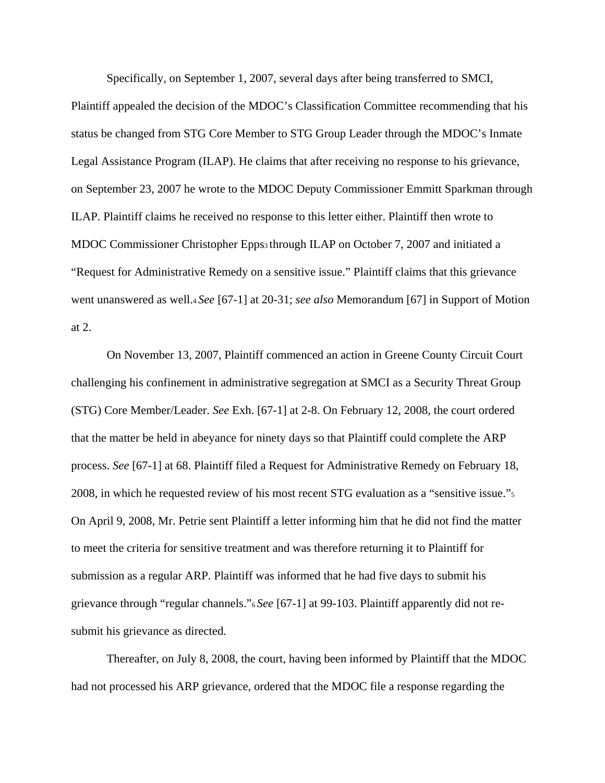Specifically, on September 1, 2007, several days after being transferred to SMCI, Plaintiff appealed the decision of the MDOC's Classification Committee recommending that his status be changed from STG Core Member to STG Group Leader through the MDOC's Inmate Legal Assistance Program (ILAP). He claims that after receiving no response to his grievance, on September 23, 2007 he wrote to the MDOC Deputy Commissioner Emmitt Sparkman through ILAP. Plaintiff claims he received no response to this letter either. Plaintiff then wrote to MDOC Commissioner Christopher Epps3 through ILAP on October 7, 2007 and initiated a "Request for Administrative Remedy on a sensitive issue." Plaintiff claims that this grievance went unanswered as well.4 *See* [67-1] at 20-31; *see also* Memorandum [67] in Support of Motion at 2.

On November 13, 2007, Plaintiff commenced an action in Greene County Circuit Court challenging his confinement in administrative segregation at SMCI as a Security Threat Group (STG) Core Member/Leader. *See* Exh. [67-1] at 2-8. On February 12, 2008, the court ordered that the matter be held in abeyance for ninety days so that Plaintiff could complete the ARP process. *See* [67-1] at 68. Plaintiff filed a Request for Administrative Remedy on February 18, 2008, in which he requested review of his most recent STG evaluation as a "sensitive issue."5 On April 9, 2008, Mr. Petrie sent Plaintiff a letter informing him that he did not find the matter to meet the criteria for sensitive treatment and was therefore returning it to Plaintiff for submission as a regular ARP. Plaintiff was informed that he had five days to submit his grievance through "regular channels."6 *See* [67-1] at 99-103. Plaintiff apparently did not resubmit his grievance as directed.

Thereafter, on July 8, 2008, the court, having been informed by Plaintiff that the MDOC had not processed his ARP grievance, ordered that the MDOC file a response regarding the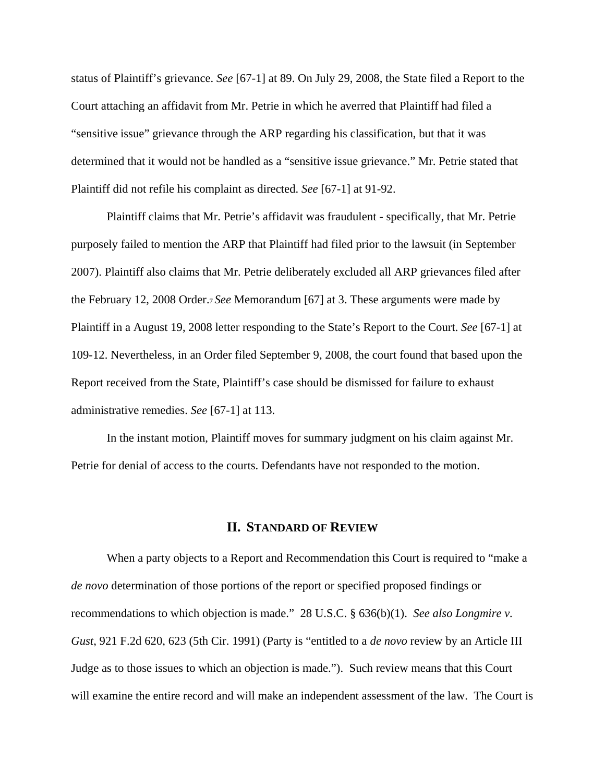status of Plaintiff's grievance. *See* [67-1] at 89. On July 29, 2008, the State filed a Report to the Court attaching an affidavit from Mr. Petrie in which he averred that Plaintiff had filed a "sensitive issue" grievance through the ARP regarding his classification, but that it was determined that it would not be handled as a "sensitive issue grievance." Mr. Petrie stated that Plaintiff did not refile his complaint as directed. *See* [67-1] at 91-92.

Plaintiff claims that Mr. Petrie's affidavit was fraudulent - specifically, that Mr. Petrie purposely failed to mention the ARP that Plaintiff had filed prior to the lawsuit (in September 2007). Plaintiff also claims that Mr. Petrie deliberately excluded all ARP grievances filed after the February 12, 2008 Order.7 *See* Memorandum [67] at 3. These arguments were made by Plaintiff in a August 19, 2008 letter responding to the State's Report to the Court. *See* [67-1] at 109-12. Nevertheless, in an Order filed September 9, 2008, the court found that based upon the Report received from the State, Plaintiff's case should be dismissed for failure to exhaust administrative remedies. *See* [67-1] at 113.

In the instant motion, Plaintiff moves for summary judgment on his claim against Mr. Petrie for denial of access to the courts. Defendants have not responded to the motion.

### **II. STANDARD OF REVIEW**

When a party objects to a Report and Recommendation this Court is required to "make a *de novo* determination of those portions of the report or specified proposed findings or recommendations to which objection is made." 28 U.S.C. § 636(b)(1). *See also Longmire v. Gust*, 921 F.2d 620, 623 (5th Cir. 1991) (Party is "entitled to a *de novo* review by an Article III Judge as to those issues to which an objection is made."). Such review means that this Court will examine the entire record and will make an independent assessment of the law. The Court is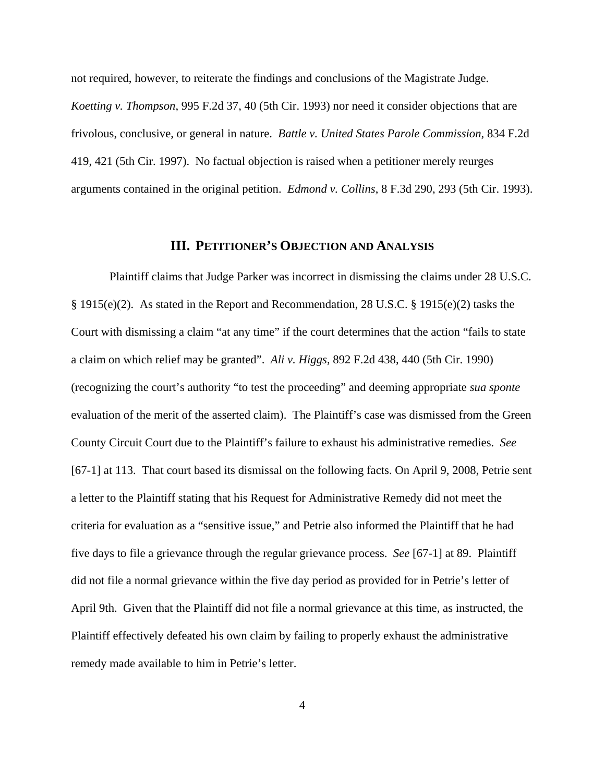not required, however, to reiterate the findings and conclusions of the Magistrate Judge. *Koetting v. Thompson*, 995 F.2d 37, 40 (5th Cir. 1993) nor need it consider objections that are frivolous, conclusive, or general in nature. *Battle v. United States Parole Commission*, 834 F.2d 419, 421 (5th Cir. 1997). No factual objection is raised when a petitioner merely reurges arguments contained in the original petition. *Edmond v. Collins*, 8 F.3d 290, 293 (5th Cir. 1993).

#### **III. PETITIONER'S OBJECTION AND ANALYSIS**

 Plaintiff claims that Judge Parker was incorrect in dismissing the claims under 28 U.S.C. § 1915(e)(2). As stated in the Report and Recommendation, 28 U.S.C. § 1915(e)(2) tasks the Court with dismissing a claim "at any time" if the court determines that the action "fails to state a claim on which relief may be granted". *Ali v. Higgs,* 892 F.2d 438, 440 (5th Cir. 1990) (recognizing the court's authority "to test the proceeding" and deeming appropriate *sua sponte* evaluation of the merit of the asserted claim). The Plaintiff's case was dismissed from the Green County Circuit Court due to the Plaintiff's failure to exhaust his administrative remedies. *See* [67-1] at 113. That court based its dismissal on the following facts. On April 9, 2008, Petrie sent a letter to the Plaintiff stating that his Request for Administrative Remedy did not meet the criteria for evaluation as a "sensitive issue," and Petrie also informed the Plaintiff that he had five days to file a grievance through the regular grievance process. *See* [67-1] at 89. Plaintiff did not file a normal grievance within the five day period as provided for in Petrie's letter of April 9th. Given that the Plaintiff did not file a normal grievance at this time, as instructed, the Plaintiff effectively defeated his own claim by failing to properly exhaust the administrative remedy made available to him in Petrie's letter.